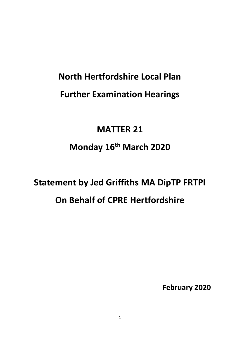# **North Hertfordshire Local Plan Further Examination Hearings**

# **MATTER 21 Monday 16th March 2020**

# **Statement by Jed Griffiths MA DipTP FRTPI On Behalf of CPRE Hertfordshire**

**February 2020**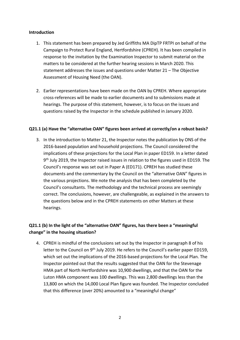#### **Introduction**

- 1. This statement has been prepared by Jed Griffiths MA DipTP FRTPI on behalf of the Campaign to Protect Rural England, Hertfordshire (CPREH). It has been compiled in response to the invitation by the Examination Inspector to submit material on the matters to be considered at the further hearing sessions in March 2020. This statement addresses the issues and questions under Matter 21 – The Objective Assessment of Housing Need (the OAN).
- 2. Earlier representations have been made on the OAN by CPREH. Where appropriate cross-references will be made to earlier documents and to submissions made at hearings. The purpose of this statement, however, is to focus on the issues and questions raised by the Inspector in the schedule published in January 2020.

#### **Q21.1 (a) Have the "alternative OAN" figures been arrived at correctly/on a robust basis?**

3. In the introduction to Matter 21, the Inspector notes the publication by ONS of the 2016-based population and household projections. The Council considered the implications of these projections for the Local Plan in paper ED159. In a letter dated 9<sup>th</sup> July 2019, the Inspector raised issues in relation to the figures used in ED159. The Council's response was set out in Paper A (ED171). CPREH has studied these documents and the commentary by the Council on the "alternative OAN" figures in the various projections. We note the analysis that has been completed by the Council's consultants. The methodology and the technical process are seemingly correct. The conclusions, however, are challengeable, as explained in the answers to the questions below and in the CPREH statements on other Matters at these hearings.

### **Q21.1 (b) In the light of the "alternative OAN" figures, has there been a "meaningful change" in the housing situation?**

4. CPREH is mindful of the conclusions set out by the Inspector in paragraph 8 of his letter to the Council on 9<sup>th</sup> July 2019. He refers to the Council's earlier paper ED159, which set out the implications of the 2016-based projections for the Local Plan. The Inspector pointed out that the results suggested that the OAN for the Stevenage HMA part of North Hertfordshire was 10,900 dwellings, and that the OAN for the Luton HMA component was 100 dwellings. This was 2,800 dwellings less than the 13,800 on which the 14,000 Local Plan figure was founded. The Inspector concluded that this difference (over 20%) amounted to a "meaningful change"